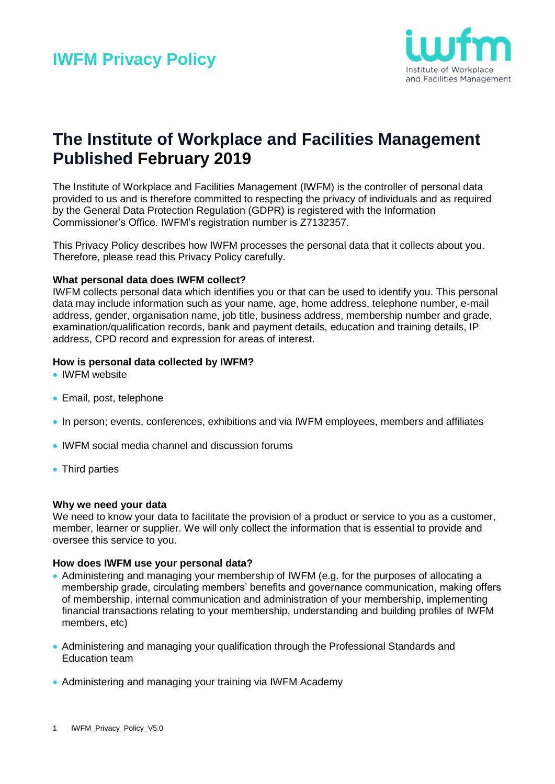

## **The Institute of Workplace and Facilities Management Published February 2019**

The Institute of Workplace and Facilities Management (IWFM) is the controller of personal data provided to us and is therefore committed to respecting the privacy of individuals and as required by the General Data Protection Regulation (GDPR) is registered with the Information Commissioner's Office. IWFM's registration number is Z7132357.

This Privacy Policy describes how IWFM processes the personal data that it collects about you. Therefore, please read this Privacy Policy carefully.

## **What personal data does IWFM collect?**

IWFM collects personal data which identifies you or that can be used to identify you. This personal data may include information such as your name, age, home address, telephone number, e-mail address, gender, organisation name, job title, business address, membership number and grade, examination/qualification records, bank and payment details, education and training details, IP address, CPD record and expression for areas of interest.

## **How is personal data collected by IWFM?**

- IWFM website
- Email, post, telephone
- In person; events, conferences, exhibitions and via IWFM employees, members and affiliates
- IWFM social media channel and discussion forums
- Third parties

#### **Why we need your data**

We need to know your data to facilitate the provision of a product or service to you as a customer, member, learner or supplier. We will only collect the information that is essential to provide and oversee this service to you.

#### **How does IWFM use your personal data?**

- Administering and managing your membership of IWFM (e.g. for the purposes of allocating a membership grade, circulating members' benefits and governance communication, making offers of membership, internal communication and administration of your membership, implementing financial transactions relating to your membership, understanding and building profiles of IWFM members, etc)
- Administering and managing your qualification through the Professional Standards and Education team
- Administering and managing your training via IWFM Academy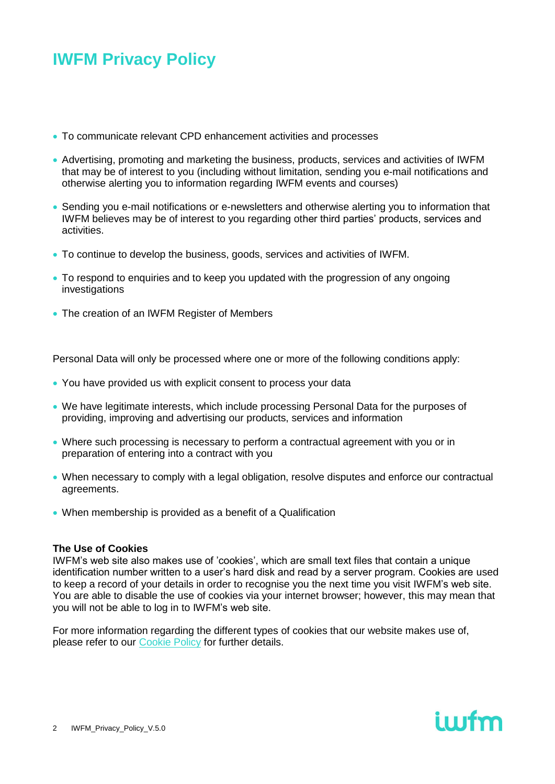- To communicate relevant CPD enhancement activities and processes
- Advertising, promoting and marketing the business, products, services and activities of IWFM that may be of interest to you (including without limitation, sending you e-mail notifications and otherwise alerting you to information regarding IWFM events and courses)
- Sending you e-mail notifications or e-newsletters and otherwise alerting you to information that IWFM believes may be of interest to you regarding other third parties' products, services and activities.
- To continue to develop the business, goods, services and activities of IWFM.
- To respond to enquiries and to keep you updated with the progression of any ongoing investigations
- The creation of an IWFM Register of Members

Personal Data will only be processed where one or more of the following conditions apply:

- You have provided us with explicit consent to process your data
- We have legitimate interests, which include processing Personal Data for the purposes of providing, improving and advertising our products, services and information
- Where such processing is necessary to perform a contractual agreement with you or in preparation of entering into a contract with you
- When necessary to comply with a legal obligation, resolve disputes and enforce our contractual agreements.
- When membership is provided as a benefit of a Qualification

## **The Use of Cookies**

IWFM's web site also makes use of 'cookies', which are small text files that contain a unique identification number written to a user's hard disk and read by a server program. Cookies are used to keep a record of your details in order to recognise you the next time you visit IWFM's web site. You are able to disable the use of cookies via your internet browser; however, this may mean that you will not be able to log in to IWFM's web site.

iwfm

For more information regarding the different types of cookies that our website makes use of, please refer to our [Cookie Policy](http://iwfm.org.uk/privacy/cookies) for further details.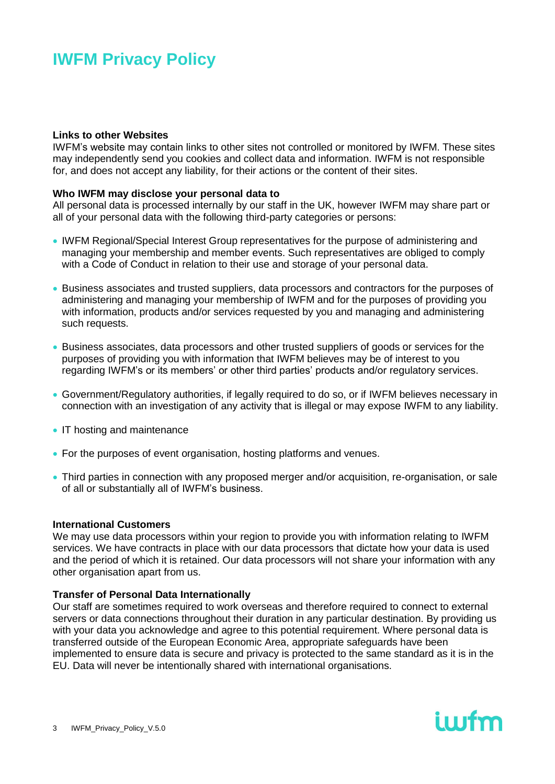#### **Links to other Websites**

IWFM's website may contain links to other sites not controlled or monitored by IWFM. These sites may independently send you cookies and collect data and information. IWFM is not responsible for, and does not accept any liability, for their actions or the content of their sites.

### **Who IWFM may disclose your personal data to**

All personal data is processed internally by our staff in the UK, however IWFM may share part or all of your personal data with the following third-party categories or persons:

- IWFM Regional/Special Interest Group representatives for the purpose of administering and managing your membership and member events. Such representatives are obliged to comply with a Code of Conduct in relation to their use and storage of your personal data.
- Business associates and trusted suppliers, data processors and contractors for the purposes of administering and managing your membership of IWFM and for the purposes of providing you with information, products and/or services requested by you and managing and administering such requests.
- Business associates, data processors and other trusted suppliers of goods or services for the purposes of providing you with information that IWFM believes may be of interest to you regarding IWFM's or its members' or other third parties' products and/or regulatory services.
- Government/Regulatory authorities, if legally required to do so, or if IWFM believes necessary in connection with an investigation of any activity that is illegal or may expose IWFM to any liability.
- IT hosting and maintenance
- For the purposes of event organisation, hosting platforms and venues.
- Third parties in connection with any proposed merger and/or acquisition, re-organisation, or sale of all or substantially all of IWFM's business.

#### **International Customers**

We may use data processors within your region to provide you with information relating to IWFM services. We have contracts in place with our data processors that dictate how your data is used and the period of which it is retained. Our data processors will not share your information with any other organisation apart from us.

## **Transfer of Personal Data Internationally**

Our staff are sometimes required to work overseas and therefore required to connect to external servers or data connections throughout their duration in any particular destination. By providing us with your data you acknowledge and agree to this potential requirement. Where personal data is transferred outside of the European Economic Area, appropriate safeguards have been implemented to ensure data is secure and privacy is protected to the same standard as it is in the EU. Data will never be intentionally shared with international organisations.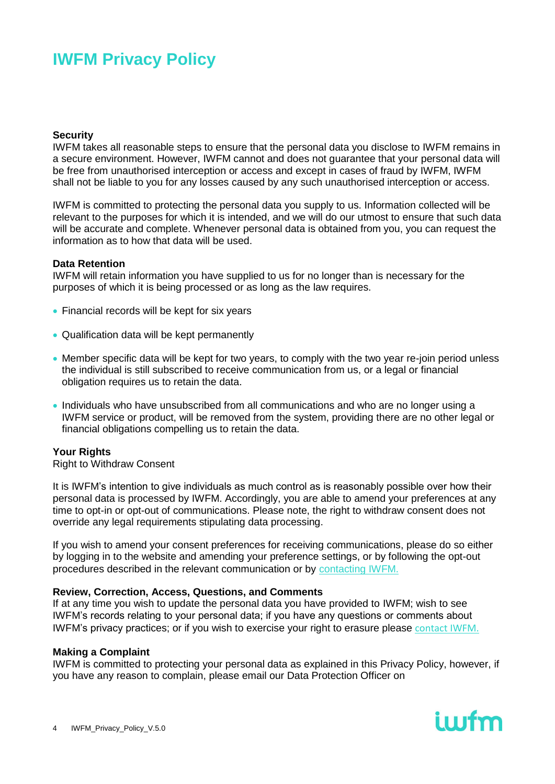#### **Security**

IWFM takes all reasonable steps to ensure that the personal data you disclose to IWFM remains in a secure environment. However, IWFM cannot and does not guarantee that your personal data will be free from unauthorised interception or access and except in cases of fraud by IWFM, IWFM shall not be liable to you for any losses caused by any such unauthorised interception or access.

IWFM is committed to protecting the personal data you supply to us. Information collected will be relevant to the purposes for which it is intended, and we will do our utmost to ensure that such data will be accurate and complete. Whenever personal data is obtained from you, you can request the information as to how that data will be used.

### **Data Retention**

IWFM will retain information you have supplied to us for no longer than is necessary for the purposes of which it is being processed or as long as the law requires.

- Financial records will be kept for six years
- Qualification data will be kept permanently
- Member specific data will be kept for two years, to comply with the two year re-join period unless the individual is still subscribed to receive communication from us, or a legal or financial obligation requires us to retain the data.
- Individuals who have unsubscribed from all communications and who are no longer using a IWFM service or product, will be removed from the system, providing there are no other legal or financial obligations compelling us to retain the data.

## **Your Rights**

Right to Withdraw Consent

It is IWFM's intention to give individuals as much control as is reasonably possible over how their personal data is processed by IWFM. Accordingly, you are able to amend your preferences at any time to opt-in or opt-out of communications. Please note, the right to withdraw consent does not override any legal requirements stipulating data processing.

If you wish to amend your consent preferences for receiving communications, please do so either by logging in to the website and amending your preference settings, or by following the opt-out procedures described in the relevant communication or by [contacting IWFM](https://www.iwfm.org.uk/contact).

#### **Review, Correction, Access, Questions, and Comments**

If at any time you wish to update the personal data you have provided to IWFM; wish to see IWFM's records relating to your personal data; if you have any questions or comments about IWFM's privacy practices; or if you wish to exercise your right to erasure please [contact IWFM.](https://www.iwfm.org.uk/contact)

#### **Making a Complaint**

IWFM is committed to protecting your personal data as explained in this Privacy Policy, however, if you have any reason to complain, please email our Data Protection Officer on